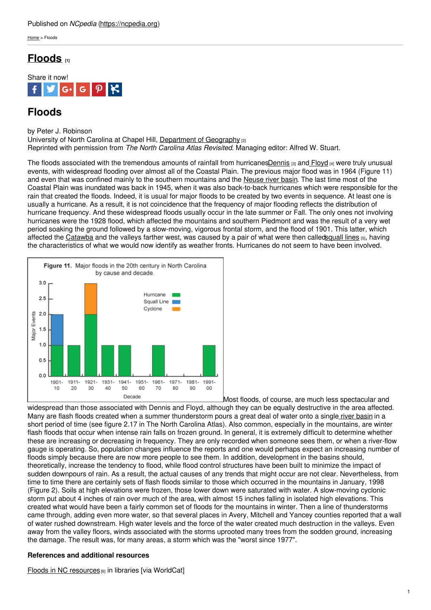## Published on *NCpedia* [\(https://ncpedia.org](https://ncpedia.org))

[Home](https://ncpedia.org/) > Floods

## **[Floods](https://ncpedia.org/floods) [1]**



# **Floods**

by Peter J. Robinson

University of North Carolina at Chapel Hill, [Department](https://geography.unc.edu/) of Geography [2] Reprinted with permission from *The North Carolina Atlas Revisited*. Managing editor: Alfred W. Stuart.

The floods associated with the tremendous amounts of rainfall from hurricane[sDennis](https://coastal.er.usgs.gov/hurricanes/dennis2005/) [3] and [Floyd](https://www.ncpedia.org/anchor/hurricane-floyd) [4] were truly unusual events, with widespread flooding over almost all of the Coastal Plain. The previous major flood was in 1964 (Figure 11) and even that was confined mainly to the southern mountains and the [Neuse](https://ncpedia.org/floods#) river basin. The last time most of the Coastal Plain was inundated was back in 1945, when it was also back-to-back hurricanes which were responsible for the rain that created the floods. Indeed, it is usual for [major](http://www.social9.com) floods to be created by two events in sequence. At least one is usually a hurricane. As a result, it is not coincidence that the frequency of major flooding reflects the distribution of hurricane frequency. And these widespread floods usually occur in the late summer or Fall. The only ones not involving hurricanes were the 1928 flood, which affected the mountains and southern Piedmont and was the result of a very wet period soaking the ground followed by a slow-moving, vigorous frontal storm, and the flood of 1901. This latter, which affected the [Catawba](https://ncpedia.org/floods#) and the valleys farther west, was caused by a pair of what were then calle[dsquall](http://ww2010.atmos.uiuc.edu/%28Gl%29/guides/mtr/svr/modl/line/squall.rxml) lines [5], having the characteristics of what we would now identify as weather fronts. Hurricanes do not seem to have been involved.



Most floods, of course, are much less spectacular and widespread than those associated with Dennis and Floyd, although they can be equally destructive in the area affected. Many are flash floods created when a summer thunderstorm pours a great deal of water onto a single river [basin](https://ncpedia.org/floods#) in a short period of time (see figure 2.17 in The North Carolina Atlas). Also common, especially in the mountains, are winter flash floods that occur when intense rain falls on frozen ground. In general, it is extremely difficult to determine whether these are increasing or decreasing in frequency. They are only recorded when someone sees them, or when a river-flow gauge is operating. So, population changes influence the reports and one would perhaps expect an increasing number of floods simply because there are now more people to see them. In addition, development in the basins should, theoretically, increase the tendency to flood, while flood control structures have been built to minimize the impact of sudden downpours of rain. As a result, the actual causes of any trends that might occur are not clear. Nevertheless, from time to time there are certainly sets of flash floods similar to those which occurred in the mountains in January, 1998 (Figure 2). Soils at high elevations were frozen, those lower down were saturated with water. A slow-moving cyclonic storm put about 4 inches of rain over much of the area, with almost 15 inches falling in isolated high elevations. This created what would have been a fairly common set of floods for the mountains in winter. Then a line of thunderstorms came through, adding even more water, so that several places in Avery, Mitchell and Yancey counties reported that a wall of water rushed downstream. High water levels and the force of the water created much destruction in the valleys. Even away from the valley floors, winds associated with the storms uprooted many trees from the sodden ground, increasing the damage. The result was, for many areas, a storm which was the "worst since 1977".

## **References and additional resources**

 $F$ loods in NC [resources](https://www.worldcat.org/search?q=nc+flood&dblist=638&fq=s0%3A26000000&qt=facet_s0%3A)  $[6]$  in libraries [via WorldCat]